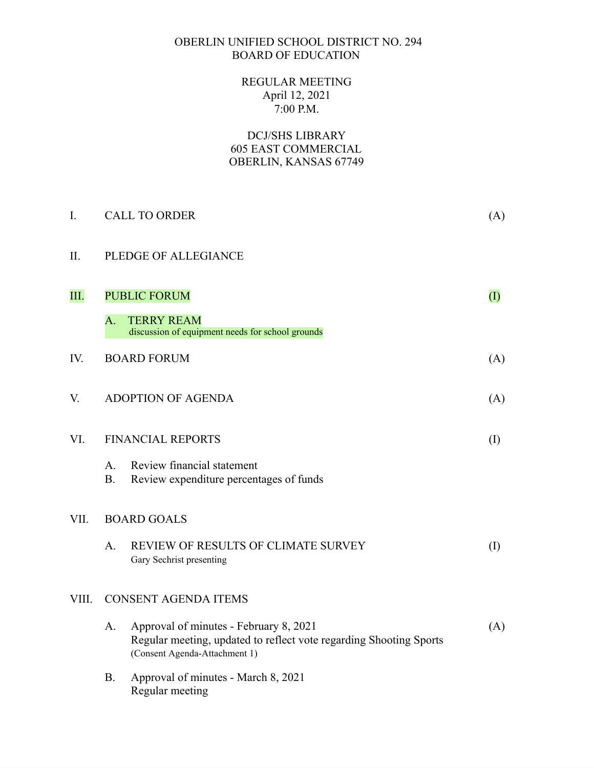#### OBERLIN UNIFIED SCHOOL DISTRICT NO. 294 BOARD OF EDUCATION

REGULAR MEETING April 12, 2021 7:00 P.M.

## DCJ/SHS LIBRARY 605 EAST COMMERCIAL OBERLIN, KANSAS 67749

| I.    | <b>CALL TO ORDER</b>                                                                                                                                | (A)      |  |
|-------|-----------------------------------------------------------------------------------------------------------------------------------------------------|----------|--|
| Π.    | PLEDGE OF ALLEGIANCE                                                                                                                                |          |  |
| Ш.    | <b>PUBLIC FORUM</b>                                                                                                                                 | $\rm(I)$ |  |
|       | <b>TERRY REAM</b><br>$\mathsf{A}$ .<br>discussion of equipment needs for school grounds                                                             |          |  |
| IV.   | <b>BOARD FORUM</b>                                                                                                                                  | (A)      |  |
| V.    | <b>ADOPTION OF AGENDA</b>                                                                                                                           | (A)      |  |
| VI.   | <b>FINANCIAL REPORTS</b>                                                                                                                            | $\rm(I)$ |  |
|       | A.<br>Review financial statement<br>Review expenditure percentages of funds<br><b>B.</b>                                                            |          |  |
| VII.  | <b>BOARD GOALS</b>                                                                                                                                  |          |  |
|       | REVIEW OF RESULTS OF CLIMATE SURVEY<br>A.<br>Gary Sechrist presenting                                                                               | (I)      |  |
| VIII. | <b>CONSENT AGENDA ITEMS</b>                                                                                                                         |          |  |
|       | Approval of minutes - February 8, 2021<br>A.<br>Regular meeting, updated to reflect vote regarding Shooting Sports<br>(Consent Agenda-Attachment 1) | (A)      |  |
|       | <b>B.</b><br>Approval of minutes - March 8, 2021<br>Regular meeting                                                                                 |          |  |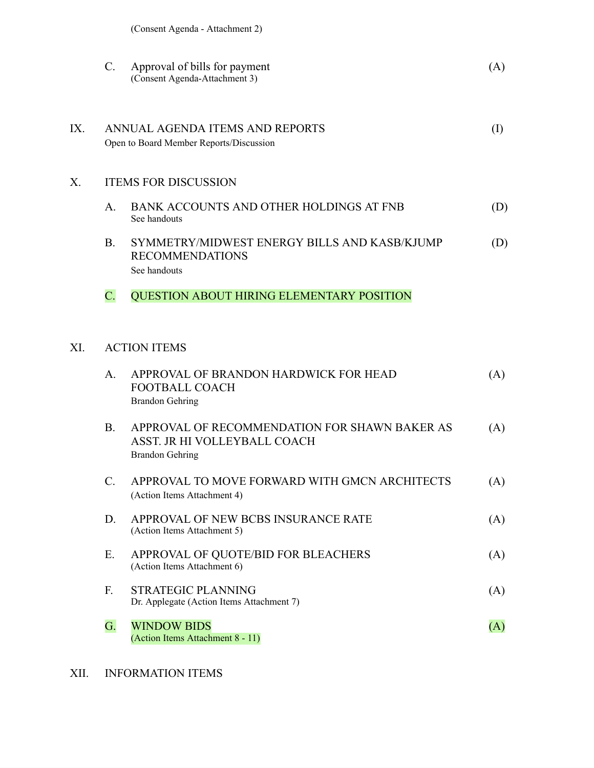|     | C.                  | Approval of bills for payment<br>(Consent Agenda-Attachment 3)                                          | (A)      |  |  |
|-----|---------------------|---------------------------------------------------------------------------------------------------------|----------|--|--|
| IX. |                     | ANNUAL AGENDA ITEMS AND REPORTS<br>Open to Board Member Reports/Discussion                              | $\rm(I)$ |  |  |
| Х.  |                     | <b>ITEMS FOR DISCUSSION</b>                                                                             |          |  |  |
|     | A.                  | BANK ACCOUNTS AND OTHER HOLDINGS AT FNB<br>See handouts                                                 | (D)      |  |  |
|     | <b>B.</b>           | SYMMETRY/MIDWEST ENERGY BILLS AND KASB/KJUMP<br><b>RECOMMENDATIONS</b><br>See handouts                  | (D)      |  |  |
|     | $\mathbf{C}$ .      | <b>QUESTION ABOUT HIRING ELEMENTARY POSITION</b>                                                        |          |  |  |
| XI. | <b>ACTION ITEMS</b> |                                                                                                         |          |  |  |
|     | A.                  | APPROVAL OF BRANDON HARDWICK FOR HEAD<br><b>FOOTBALL COACH</b><br><b>Brandon Gehring</b>                | (A)      |  |  |
|     | <b>B.</b>           | APPROVAL OF RECOMMENDATION FOR SHAWN BAKER AS<br>ASST. JR HI VOLLEYBALL COACH<br><b>Brandon Gehring</b> | (A)      |  |  |
|     | C.                  | APPROVAL TO MOVE FORWARD WITH GMCN ARCHITECTS<br>(Action Items Attachment 4)                            | (A)      |  |  |
|     | D.                  | APPROVAL OF NEW BCBS INSURANCE RATE<br>(Action Items Attachment 5)                                      | (A)      |  |  |
|     | Ε.                  | APPROVAL OF QUOTE/BID FOR BLEACHERS<br>(Action Items Attachment 6)                                      | (A)      |  |  |
|     | F.                  | <b>STRATEGIC PLANNING</b><br>Dr. Applegate (Action Items Attachment 7)                                  | (A)      |  |  |
|     | G.                  | <b>WINDOW BIDS</b><br>(Action Items Attachment 8 - 11)                                                  | (A)      |  |  |

# XII. INFORMATION ITEMS